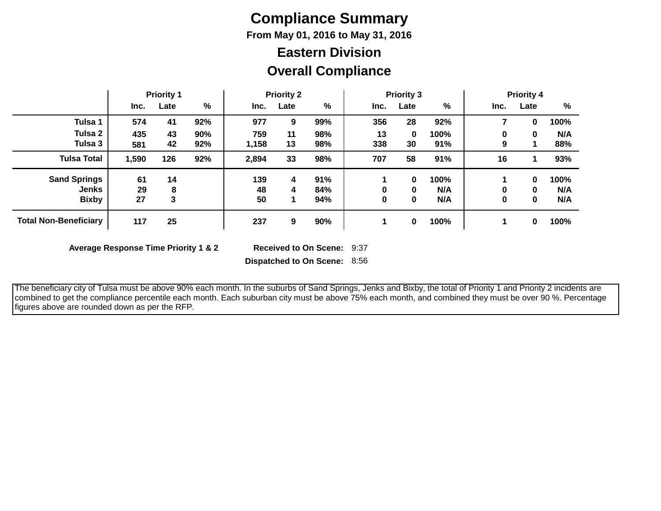# **Compliance Summary**

**From May 01, 2016 to May 31, 2016**

## **Overall Compliance Eastern Division**

|                              | <b>Priority 1</b> |      | <b>Priority 2</b> |       |      | <b>Priority 3</b> |      |          | <b>Priority 4</b> |      |             |      |
|------------------------------|-------------------|------|-------------------|-------|------|-------------------|------|----------|-------------------|------|-------------|------|
|                              | Inc.              | Late | %                 | Inc.  | Late | %                 | Inc. | Late     | %                 | Inc. | Late        | %    |
| Tulsa 1                      | 574               | 41   | 92%               | 977   | 9    | 99%               | 356  | 28       | 92%               |      | 0           | 100% |
| Tulsa 2                      | 435               | 43   | 90%               | 759   | 11   | 98%               | 13   | $\bf{0}$ | 100%              | 0    | 0           | N/A  |
| Tulsa 3                      | 581               | 42   | 92%               | 1,158 | 13   | 98%               | 338  | 30       | 91%               | 9    |             | 88%  |
| <b>Tulsa Total</b>           | 1,590             | 126  | 92%               | 2,894 | 33   | 98%               | 707  | 58       | 91%               | 16   |             | 93%  |
| <b>Sand Springs</b>          | 61                | 14   |                   | 139   | 4    | 91%               |      | $\bf{0}$ | 100%              |      | $\bf{0}$    | 100% |
| <b>Jenks</b>                 | 29                | 8    |                   | 48    | 4    | 84%               |      | $\bf{0}$ | N/A               | 0    | 0           | N/A  |
| <b>Bixby</b>                 | 27                | 3    |                   | 50    | 1    | 94%               |      | 0        | N/A               | 0    | $\mathbf 0$ | N/A  |
| <b>Total Non-Beneficiary</b> | 117               | 25   |                   | 237   | 9    | 90%               |      | $\bf{0}$ | 100%              |      | $\bf{0}$    | 100% |

**Average Response Time Priority 1 & 2** 

Received to On Scene: 9:37

**Dispatched to On Scene:** 8:56

 The beneficiary city of Tulsa must be above 90% each month. In the suburbs of Sand Springs, Jenks and Bixby, the total of Priority 1 and Priority 2 incidents are combined to get the compliance percentile each month. Each suburban city must be above 75% each month, and combined they must be over 90 %. Percentage figures above are rounded down as per the RFP.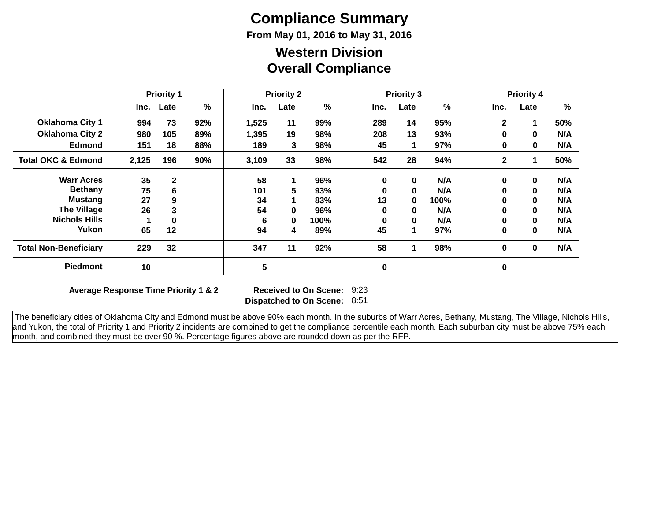# **Compliance Summary**

**From May 01, 2016 to May 31, 2016**

#### **Overall Compliance Western Division**

|                               | <b>Priority 1</b> |              | <b>Priority 2</b> |       |      | <b>Priority 3</b> |             |      | <b>Priority 4</b> |              |             |      |
|-------------------------------|-------------------|--------------|-------------------|-------|------|-------------------|-------------|------|-------------------|--------------|-------------|------|
|                               | Inc.              | Late         | %                 | Inc.  | Late | %                 | Inc.        | Late | %                 | Inc.         | Late        | $\%$ |
| <b>Oklahoma City 1</b>        | 994               | 73           | 92%               | 1,525 | 11   | 99%               | 289         | 14   | 95%               | $\mathbf{2}$ |             | 50%  |
| <b>Oklahoma City 2</b>        | 980               | 105          | 89%               | 1,395 | 19   | 98%               | 208         | 13   | 93%               | 0            | $\bf{0}$    | N/A  |
| <b>Edmond</b>                 | 151               | 18           | 88%               | 189   | 3    | 98%               | 45          |      | 97%               | 0            | $\bf{0}$    | N/A  |
| <b>Total OKC &amp; Edmond</b> | 2,125             | 196          | 90%               | 3,109 | 33   | 98%               | 542         | 28   | 94%               | $\mathbf{2}$ |             | 50%  |
| <b>Warr Acres</b>             | 35                | $\mathbf{2}$ |                   | 58    |      | 96%               | $\bf{0}$    | 0    | N/A               | 0            | $\mathbf 0$ | N/A  |
| <b>Bethany</b>                | 75                | 6            |                   | 101   | 5    | 93%               | 0           | 0    | N/A               | 0            | $\mathbf 0$ | N/A  |
| <b>Mustang</b>                | 27                | 9            |                   | 34    |      | 83%               | 13          | 0    | 100%              | 0            | $\bf{0}$    | N/A  |
| <b>The Village</b>            | 26                | 3            |                   | 54    | 0    | 96%               | 0           | 0    | N/A               | 0            | $\mathbf 0$ | N/A  |
| <b>Nichols Hills</b>          |                   |              |                   | 6     | 0    | 100%              | 0           | 0    | N/A               | 0            | $\bf{0}$    | N/A  |
| Yukon                         | 65                | 12           |                   | 94    | 4    | 89%               | 45          | 1    | 97%               | 0            | $\mathbf 0$ | N/A  |
| <b>Total Non-Beneficiary</b>  | 229               | 32           |                   | 347   | 11   | 92%               | 58          |      | 98%               | 0            | $\bf{0}$    | N/A  |
| <b>Piedmont</b>               | 10                |              |                   | 5     |      |                   | $\mathbf 0$ |      |                   | 0            |             |      |

**Average Response Time Priority 1 & 2** 

**Dispatched to On Scene:** 8:51 Received to On Scene: 9:23

 The beneficiary cities of Oklahoma City and Edmond must be above 90% each month. In the suburbs of Warr Acres, Bethany, Mustang, The Village, Nichols Hills, and Yukon, the total of Priority 1 and Priority 2 incidents are combined to get the compliance percentile each month. Each suburban city must be above 75% each month, and combined they must be over 90 %. Percentage figures above are rounded down as per the RFP.